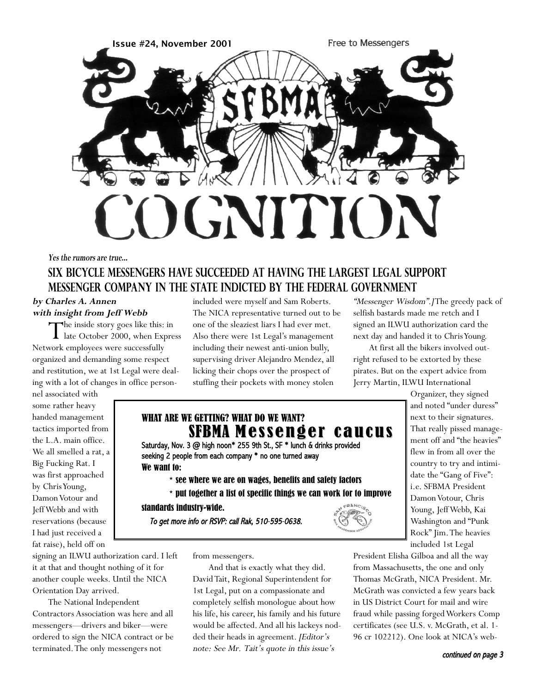

#### **Yes the rumors are true...**

# **SIX BICYCLE MESSENGERS HAVE SUCCEEDED AT HAVING THE LARGEST LEGAL SUPPORT MESSENGER COMPANY IN THE STATE INDICTED BY THE FEDERAL GOVERNMENT**

#### **by Charles A. Annen with insight from Jeff Webb**

The inside story goes like this: in<br>late October 2000, when Express Network employees were successfully organized and demanding some respect and restitution, we at 1st Legal were dealing with a lot of changes in office person-

nel associated with some rather heavy handed management tactics imported from the L.A. main office. We all smelled a rat, a Big Fucking Rat. I was first approached by Chris Young, Damon Votour and Jeff Webb and with reservations (because I had just received a fat raise), held off on

included were myself and Sam Roberts. The NICA representative turned out to be one of the sleaziest liars I had ever met. Also there were 1st Legal's management including their newest anti-union bully, supervising driver Alejandro Mendez, all licking their chops over the prospect of stuffing their pockets with money stolen

"Messenger Wisdom".]The greedy pack of selfish bastards made me retch and I signed an ILWU authorization card the next day and handed it to Chris Young.

At first all the bikers involved outright refused to be extorted by these pirates. But on the expert advice from Jerry Martin, ILWU International

# WHAT ARE WE GETTING? WHAT DO WE WANT? SFBMA Messenger caucus

Saturday, Nov. 3 @ high noon\* 255 9th St., SF \* lunch & drinks provided seeking 2 people from each company \* no one turned away We want to:

- **\*** see where we are on wages, benefits and safety factors
- **\*** put together a list of specific things we can work for to improve

standards industry-wide.

To get more info or RSVP: call Rak, 510-595-0638.



signing an ILWU authorization card. I left it at that and thought nothing of it for another couple weeks. Until the NICA Orientation Day arrived.

The National Independent Contractors Association was here and all messengers—drivers and biker—were ordered to sign the NICA contract or be terminated.The only messengers not

from messengers.

And that is exactly what they did. David Tait, Regional Superintendent for 1st Legal, put on a compassionate and completely selfish monologue about how his life, his career, his family and his future would be affected. And all his lackeys nodded their heads in agreement. [Editor's note: See Mr. Tait's quote in this issue's

Organizer, they signed and noted "under duress" next to their signatures. That really pissed management off and "the heavies" flew in from all over the country to try and intimidate the "Gang of Five": i.e. SFBMA President Damon Votour, Chris Young, Jeff Webb, Kai Washington and "Punk Rock" Jim.The heavies included 1st Legal

President Elisha Gilboa and all the way from Massachusetts, the one and only Thomas McGrath, NICA President. Mr. McGrath was convicted a few years back in US District Court for mail and wire fraud while passing forged Workers Comp certificates (see U.S. v. McGrath, et al. 1- 96 cr 102212). One look at NICA's web-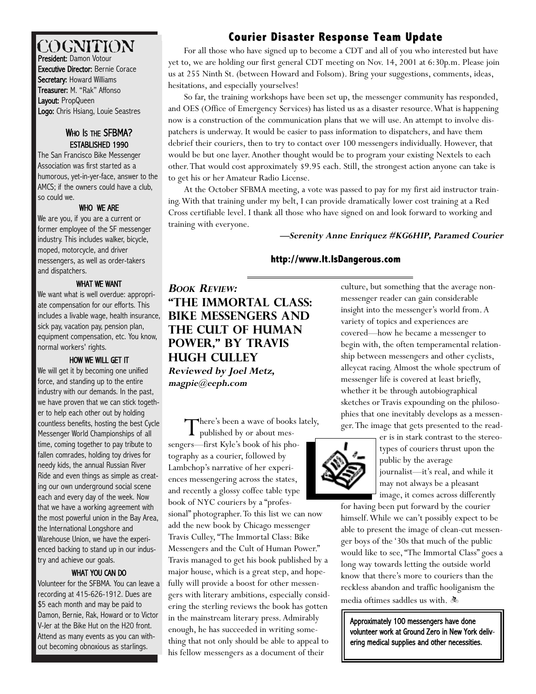# COGNITION

President: Damon Votour Executive Director: Bernie Corace Secretary: Howard Williams Treasurer: M. "Rak" Affonso Layout: PropQueen Logo: Chris Hsiang, Louie Seastres

### WHO IS THE SFBMA? ESTABLISHED 1990

The San Francisco Bike Messenger Association was first started as a humorous, yet-in-yer-face, answer to the AMCS; if the owners could have a club, so could we.

#### WHO WE ARE

We are you, if you are a current or former employee of the SF messenger industry. This includes walker, bicycle, moped, motorcycle, and driver messengers, as well as order-takers and dispatchers.

### WHAT WE WANT

We want what is well overdue: appropriate compensation for our efforts. This includes a livable wage, health insurance, sick pay, vacation pay, pension plan, equipment compensation, etc. You know, normal workers' rights.

### HOW WE WILL GET IT

We will get it by becoming one unified force, and standing up to the entire industry with our demands. In the past, we have proven that we can stick together to help each other out by holding countless benefits, hosting the best Cycle Messenger World Championships of all time, coming together to pay tribute to fallen comrades, holding toy drives for needy kids, the annual Russian River Ride and even things as simple as creating our own underground social scene each and every day of the week. Now that we have a working agreement with the most powerful union in the Bay Area, the International Longshore and Warehouse Union, we have the experienced backing to stand up in our industry and achieve our goals.

### WHAT YOU CAN DO

Volunteer for the SFBMA. You can leave a recording at 415-626-1912. Dues are \$5 each month and may be paid to Damon, Bernie, Rak, Howard or to Victor V-Jer at the Bike Hut on the H20 front. Attend as many events as you can without becoming obnoxious as starlings.

# **Courier Disaster Response Team Update Courier Disaster Response Team Update**

For all those who have signed up to become a CDT and all of you who interested but have yet to, we are holding our first general CDT meeting on Nov. 14, 2001 at 6:30p.m. Please join us at 255 Ninth St. (between Howard and Folsom). Bring your suggestions, comments, ideas, hesitations, and especially yourselves!

So far, the training workshops have been set up, the messenger community has responded, and OES (Office of Emergency Services) has listed us as a disaster resource.What is happening now is a construction of the communication plans that we will use. An attempt to involve dispatchers is underway. It would be easier to pass information to dispatchers, and have them debrief their couriers, then to try to contact over 100 messengers individually. However, that would be but one layer. Another thought would be to program your existing Nextels to each other.That would cost approximately \$9.95 each. Still, the strongest action anyone can take is to get his or her Amateur Radio License.

At the October SFBMA meeting, a vote was passed to pay for my first aid instructor training.With that training under my belt, I can provide dramatically lower cost training at a Red Cross certifiable level. I thank all those who have signed on and look forward to working and training with everyone.

### **—Serenity Anne Enriquez #KG6HIP, Paramed Courier**

## **http://www.It.IsDangerous.com**

**BOOK REVIEW: "The Immortal Class: Bike Messengers and the Cult of Human Power," by Travis Hugh Culley Reviewed by Joel Metz, magpie@eeph.com** 

There's been a wave of books lately, **L** published by or about messengers—first Kyle's book of his photography as a courier, followed by Lambchop's narrative of her experiences messengering across the states, and recently a glossy coffee table type book of NYC couriers by a "profes-

sional" photographer. To this list we can now add the new book by Chicago messenger Travis Culley, "The Immortal Class: Bike Messengers and the Cult of Human Power." Travis managed to get his book published by a major house, which is a great step, and hopefully will provide a boost for other messengers with literary ambitions, especially considering the sterling reviews the book has gotten in the mainstream literary press. Admirably enough, he has succeeded in writing something that not only should be able to appeal to his fellow messengers as a document of their

culture, but something that the average nonmessenger reader can gain considerable insight into the messenger's world from. A variety of topics and experiences are covered—how he became a messenger to begin with, the often temperamental relationship between messengers and other cyclists, alleycat racing. Almost the whole spectrum of messenger life is covered at least briefly, whether it be through autobiographical sketches or Travis expounding on the philosophies that one inevitably develops as a messenger.The image that gets presented to the read-



er is in stark contrast to the stereotypes of couriers thrust upon the public by the average journalist—it's real, and while it may not always be a pleasant image, it comes across differently

for having been put forward by the courier himself.While we can't possibly expect to be able to present the image of clean-cut messenger boys of the '30s that much of the public would like to see, "The Immortal Class" goes a long way towards letting the outside world know that there's more to couriers than the reckless abandon and traffic hooliganism the media of times saddles us with.  $\clubsuit$ 

Approximately 100 messengers have done volunteer work at Ground Zero in New York delivering medical supplies and other necessities.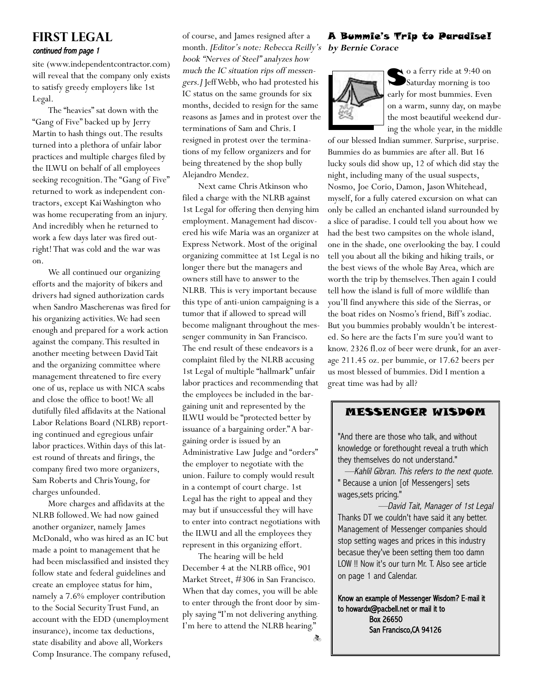# **FIRST LEGAL** continued from page 1

site (www.independentcontractor.com) will reveal that the company only exists to satisfy greedy employers like 1st Legal.

The "heavies" sat down with the "Gang of Five" backed up by Jerry Martin to hash things out.The results turned into a plethora of unfair labor practices and multiple charges filed by the ILWU on behalf of all employees seeking recognition.The "Gang of Five" returned to work as independent contractors, except Kai Washington who was home recuperating from an injury. And incredibly when he returned to work a few days later was fired outright! That was cold and the war was on.

We all continued our organizing efforts and the majority of bikers and drivers had signed authorization cards when Sandro Mascherenas was fired for his organizing activities.We had seen enough and prepared for a work action against the company.This resulted in another meeting between David Tait and the organizing committee where management threatened to fire every one of us, replace us with NICA scabs and close the office to boot! We all dutifully filed affidavits at the National Labor Relations Board (NLRB) reporting continued and egregious unfair labor practices.Within days of this latest round of threats and firings, the company fired two more organizers, Sam Roberts and Chris Young, for charges unfounded.

More charges and affidavits at the NLRB followed.We had now gained another organizer, namely James McDonald, who was hired as an IC but made a point to management that he had been misclassified and insisted they follow state and federal guidelines and create an employee status for him, namely a 7.6% employer contribution to the Social Security Trust Fund, an account with the EDD (unemployment insurance), income tax deductions, state disability and above all,Workers Comp Insurance.The company refused, of course, and James resigned after a month. [Editor's note: Rebecca Reilly's book "Nerves of Steel" analyzes how much the IC situation rips off messengers.] Jeff Webb, who had protested his IC status on the same grounds for six months, decided to resign for the same reasons as James and in protest over the terminations of Sam and Chris. I resigned in protest over the terminations of my fellow organizers and for being threatened by the shop bully Alejandro Mendez.

Next came Chris Atkinson who filed a charge with the NLRB against 1st Legal for offering then denying him employment. Management had discovered his wife Maria was an organizer at Express Network. Most of the original organizing committee at 1st Legal is no longer there but the managers and owners still have to answer to the NLRB. This is very important because this type of anti-union campaigning is a tumor that if allowed to spread will become malignant throughout the messenger community in San Francisco. The end result of these endeavors is a complaint filed by the NLRB accusing 1st Legal of multiple "hallmark" unfair labor practices and recommending that the employees be included in the bargaining unit and represented by the ILWU would be "protected better by issuance of a bargaining order." A bargaining order is issued by an Administrative Law Judge and "orders" the employer to negotiate with the union. Failure to comply would result in a contempt of court charge. 1st Legal has the right to appeal and they may but if unsuccessful they will have to enter into contract negotiations with the ILWU and all the employees they represent in this organizing effort.

The hearing will be held December 4 at the NLRB office, 901 Market Street, #306 in San Francisco. When that day comes, you will be able to enter through the front door by simply saying "I'm not delivering anything. I'm here to attend the NLRB hearing."

ð.

### A Bummie's Trip to Paradise! **by Bernie Corace**



So a ferry ride at 9:40 on Saturday morning is too early for most bummies. Even on a warm, sunny day, on maybe the most beautiful weekend during the whole year, in the middle

of our blessed Indian summer. Surprise, surprise. Bummies do as bummies are after all. But 16 lucky souls did show up, 12 of which did stay the night, including many of the usual suspects, Nosmo, Joe Corio, Damon, Jason Whitehead, myself, for a fully catered excursion on what can only be called an enchanted island surrounded by a slice of paradise. I could tell you about how we had the best two campsites on the whole island, one in the shade, one overlooking the bay. I could tell you about all the biking and hiking trails, or the best views of the whole Bay Area, which are worth the trip by themselves.Then again I could tell how the island is full of more wildlife than you'll find anywhere this side of the Sierras, or the boat rides on Nosmo's friend, Biff's zodiac. But you bummies probably wouldn't be interested. So here are the facts I'm sure you'd want to know. 2326 fl.oz of beer were drunk, for an average 211.45 oz. per bummie, or 17.62 beers per us most blessed of bummies. Did I mention a great time was had by all?

### MESSENGER WISDOM

"And there are those who talk, and without knowledge or forethought reveal a truth which they themselves do not understand."

—Kahlil Gibran. This refers to the next quote. " Because a union [of Messengers] sets wages,sets pricing."

—David Tait, Manager of 1st Legal Thanks DT we couldn't have said it any better. Management of Messenger companies should stop setting wages and prices in this industry becasue they've been setting them too damn LOW !! Now it's our turn Mr. T. Also see article on page 1 and Calendar.

Know an example of Messenger Wisdom? E-mail it to howardx@pacbell.net or mail it to Box 26650 San Francisco,CA 94126